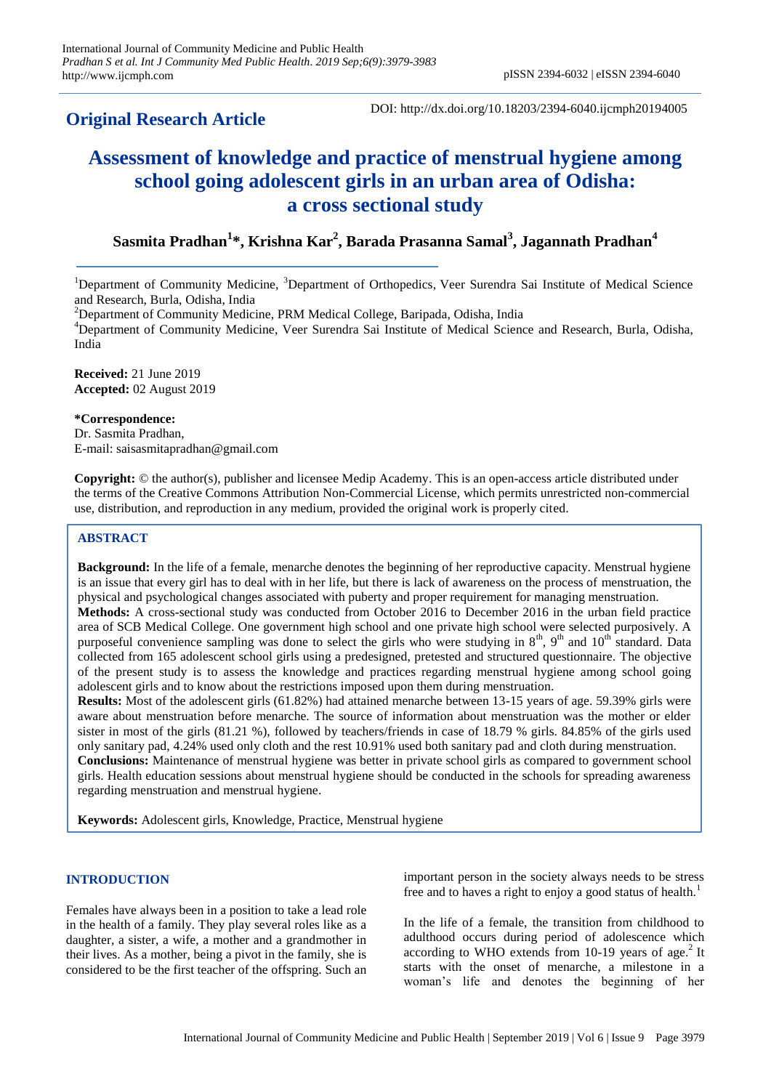# **Original Research Article**

DOI: http://dx.doi.org/10.18203/2394-6040.ijcmph20194005

# **Assessment of knowledge and practice of menstrual hygiene among school going adolescent girls in an urban area of Odisha: a cross sectional study**

**Sasmita Pradhan<sup>1</sup> \*, Krishna Kar<sup>2</sup> , Barada Prasanna Samal<sup>3</sup> , Jagannath Pradhan<sup>4</sup>**

<sup>1</sup>Department of Community Medicine, <sup>3</sup>Department of Orthopedics, Veer Surendra Sai Institute of Medical Science and Research, Burla, Odisha, India

 $2$ Department of Community Medicine, PRM Medical College, Baripada, Odisha, India

<sup>4</sup>Department of Community Medicine, Veer Surendra Sai Institute of Medical Science and Research, Burla, Odisha, India

**Received:** 21 June 2019 **Accepted:** 02 August 2019

# **\*Correspondence:**

Dr. Sasmita Pradhan, E-mail: saisasmitapradhan@gmail.com

**Copyright:** © the author(s), publisher and licensee Medip Academy. This is an open-access article distributed under the terms of the Creative Commons Attribution Non-Commercial License, which permits unrestricted non-commercial use, distribution, and reproduction in any medium, provided the original work is properly cited.

# **ABSTRACT**

**Background:** In the life of a female, menarche denotes the beginning of her reproductive capacity. Menstrual hygiene is an issue that every girl has to deal with in her life, but there is lack of awareness on the process of menstruation, the physical and psychological changes associated with puberty and proper requirement for managing menstruation. **Methods:** A cross-sectional study was conducted from October 2016 to December 2016 in the urban field practice area of SCB Medical College. One government high school and one private high school were selected purposively. A purposeful convenience sampling was done to select the girls who were studying in  $8<sup>th</sup>$ ,  $9<sup>th</sup>$  and  $10<sup>th</sup>$  standard. Data collected from 165 adolescent school girls using a predesigned, pretested and structured questionnaire. The objective of the present study is to assess the knowledge and practices regarding menstrual hygiene among school going adolescent girls and to know about the restrictions imposed upon them during menstruation.

**Results:** Most of the adolescent girls (61.82%) had attained menarche between 13-15 years of age. 59.39% girls were aware about menstruation before menarche. The source of information about menstruation was the mother or elder sister in most of the girls (81.21 %), followed by teachers/friends in case of 18.79 % girls. 84.85% of the girls used only sanitary pad, 4.24% used only cloth and the rest 10.91% used both sanitary pad and cloth during menstruation. **Conclusions:** Maintenance of menstrual hygiene was better in private school girls as compared to government school girls. Health education sessions about menstrual hygiene should be conducted in the schools for spreading awareness regarding menstruation and menstrual hygiene.

**Keywords:** Adolescent girls, Knowledge, Practice, Menstrual hygiene

#### **INTRODUCTION**

Females have always been in a position to take a lead role in the health of a family. They play several roles like as a daughter, a sister, a wife, a mother and a grandmother in their lives. As a mother, being a pivot in the family, she is considered to be the first teacher of the offspring. Such an important person in the society always needs to be stress free and to haves a right to enjoy a good status of health.<sup>1</sup>

In the life of a female, the transition from childhood to adulthood occurs during period of adolescence which according to WHO extends from 10-19 years of age.<sup>2</sup> It starts with the onset of menarche, a milestone in a woman's life and denotes the beginning of her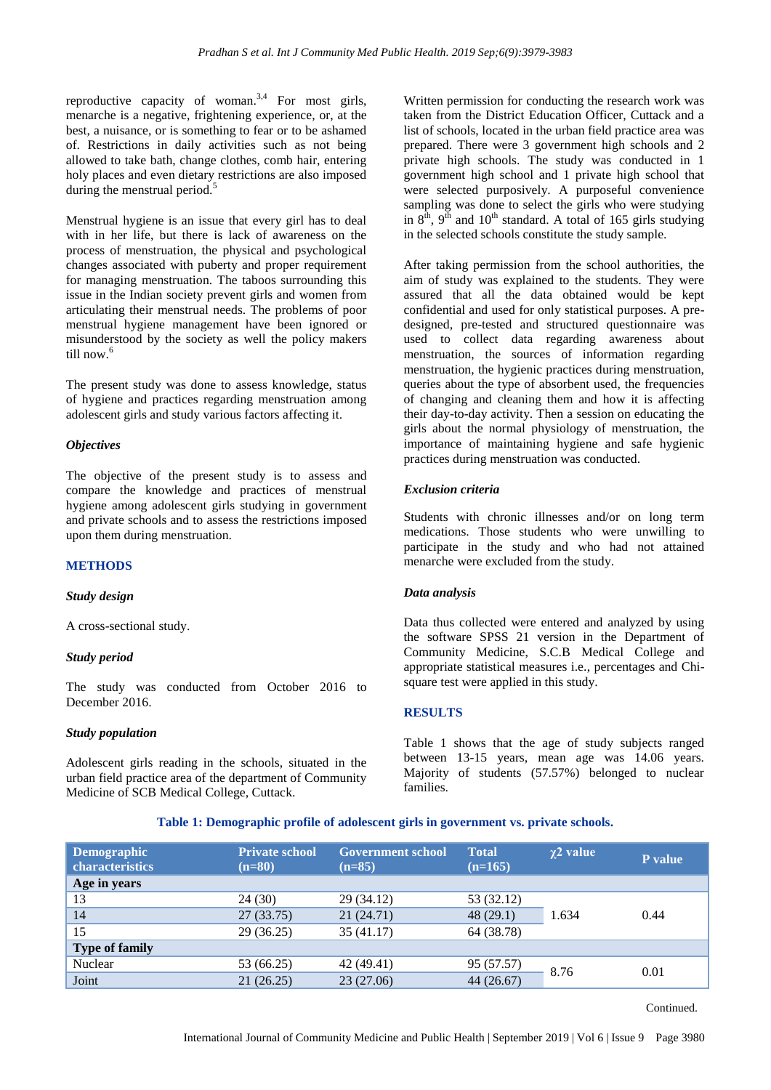reproductive capacity of woman.<sup>3,4</sup> For most girls, menarche is a negative, frightening experience, or, at the best, a nuisance, or is something to fear or to be ashamed of. Restrictions in daily activities such as not being allowed to take bath, change clothes, comb hair, entering holy places and even dietary restrictions are also imposed during the menstrual period.<sup>5</sup>

Menstrual hygiene is an issue that every girl has to deal with in her life, but there is lack of awareness on the process of menstruation, the physical and psychological changes associated with puberty and proper requirement for managing menstruation. The taboos surrounding this issue in the Indian society prevent girls and women from articulating their menstrual needs. The problems of poor menstrual hygiene management have been ignored or misunderstood by the society as well the policy makers till now.<sup>6</sup>

The present study was done to assess knowledge, status of hygiene and practices regarding menstruation among adolescent girls and study various factors affecting it.

#### *Objectives*

The objective of the present study is to assess and compare the knowledge and practices of menstrual hygiene among adolescent girls studying in government and private schools and to assess the restrictions imposed upon them during menstruation.

#### **METHODS**

#### *Study design*

A cross-sectional study.

#### *Study period*

The study was conducted from October 2016 to December 2016.

#### *Study population*

Adolescent girls reading in the schools, situated in the urban field practice area of the department of Community Medicine of SCB Medical College, Cuttack.

Written permission for conducting the research work was taken from the District Education Officer, Cuttack and a list of schools, located in the urban field practice area was prepared. There were 3 government high schools and 2 private high schools. The study was conducted in 1 government high school and 1 private high school that were selected purposively. A purposeful convenience sampling was done to select the girls who were studying in  $8<sup>th</sup>$ ,  $9<sup>th</sup>$  and  $10<sup>th</sup>$  standard. A total of 165 girls studying in the selected schools constitute the study sample.

After taking permission from the school authorities, the aim of study was explained to the students. They were assured that all the data obtained would be kept confidential and used for only statistical purposes. A predesigned, pre-tested and structured questionnaire was used to collect data regarding awareness about menstruation, the sources of information regarding menstruation, the hygienic practices during menstruation, queries about the type of absorbent used, the frequencies of changing and cleaning them and how it is affecting their day-to-day activity. Then a session on educating the girls about the normal physiology of menstruation, the importance of maintaining hygiene and safe hygienic practices during menstruation was conducted.

# *Exclusion criteria*

Students with chronic illnesses and/or on long term medications. Those students who were unwilling to participate in the study and who had not attained menarche were excluded from the study.

#### *Data analysis*

Data thus collected were entered and analyzed by using the software SPSS 21 version in the Department of Community Medicine, S.C.B Medical College and appropriate statistical measures i.e., percentages and Chisquare test were applied in this study.

# **RESULTS**

Table 1 shows that the age of study subjects ranged between 13-15 years, mean age was 14.06 years. Majority of students (57.57%) belonged to nuclear families.

**Table 1: Demographic profile of adolescent girls in government vs. private schools.**

| <b>Demographic</b><br>characteristics | <b>Private school</b><br>$(n=80)$ | <b>Government school</b><br>$(n=85)$ | <b>Total</b><br>$(n=165)$ | $\chi$ 2 value | P value |
|---------------------------------------|-----------------------------------|--------------------------------------|---------------------------|----------------|---------|
| Age in years                          |                                   |                                      |                           |                |         |
| 13                                    | 24(30)                            | 29 (34.12)                           | 53 (32.12)                |                |         |
| 14                                    | 27(33.75)                         | 21(24.71)                            | 48(29.1)                  | 1.634          | 0.44    |
| 15                                    | 29(36.25)                         | 35 (41.17)                           | 64 (38.78)                |                |         |
| <b>Type of family</b>                 |                                   |                                      |                           |                |         |
| Nuclear                               | 53 (66.25)                        | 42 (49.41)                           | 95 (57.57)                | 8.76           | 0.01    |
| Joint                                 | 21(26.25)                         | 23 (27.06)                           | 44(26.67)                 |                |         |

Continued.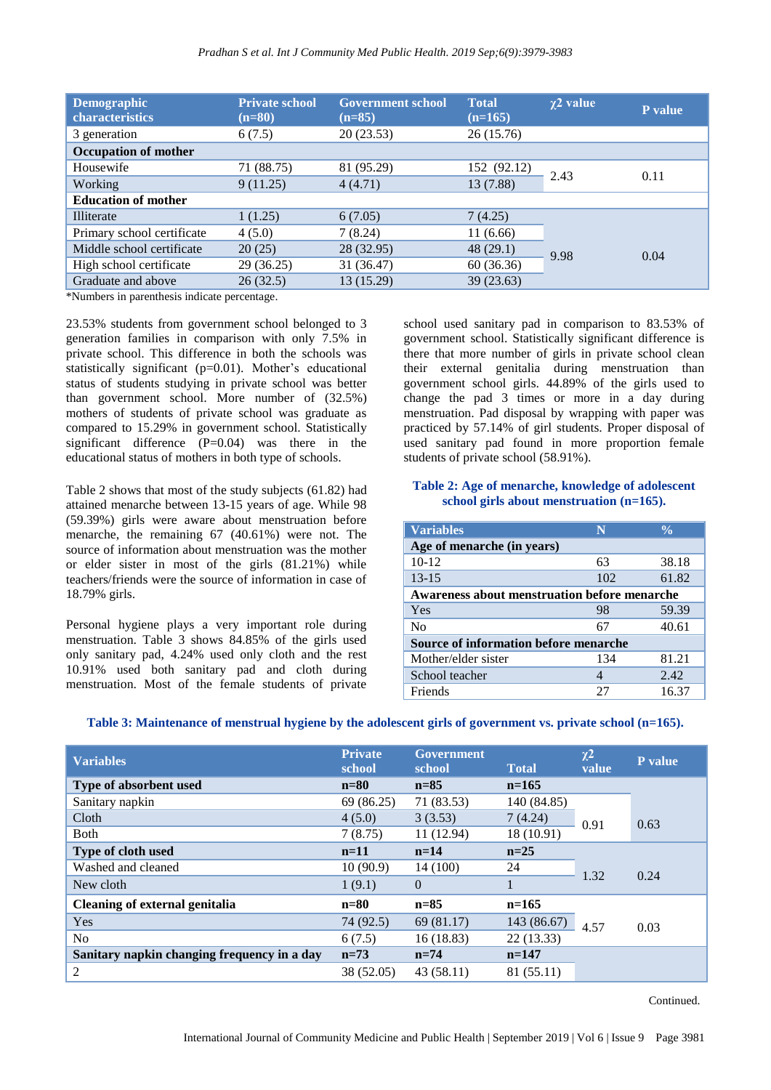| <b>Demographic</b><br>characteristics | <b>Private school</b><br>$(n=80)$ | <b>Government school</b><br>$(n=85)$ | <b>Total</b><br>$(n=165)$ | $\chi$ 2 value | P value |
|---------------------------------------|-----------------------------------|--------------------------------------|---------------------------|----------------|---------|
| 3 generation                          | 6(7.5)                            | 20(23.53)                            | 26(15.76)                 |                |         |
| <b>Occupation of mother</b>           |                                   |                                      |                           |                |         |
| Housewife                             | 71 (88.75)                        | 81 (95.29)                           | 152 (92.12)               | 2.43           | 0.11    |
| <b>Working</b>                        | 9(11.25)                          | 4(4.71)                              | 13 (7.88)                 |                |         |
| <b>Education of mother</b>            |                                   |                                      |                           |                |         |
| Illiterate                            | 1(1.25)                           | 6(7.05)                              | 7(4.25)                   |                |         |
| Primary school certificate            | 4(5.0)                            | 7(8.24)                              | 11(6.66)                  |                |         |
| Middle school certificate             | 20(25)                            | 28 (32.95)                           | 48(29.1)                  | 9.98           | 0.04    |
| High school certificate               | 29 (36.25)                        | 31 (36.47)                           | 60(36.36)                 |                |         |
| Graduate and above                    | 26(32.5)                          | 13 (15.29)                           | 39(23.63)                 |                |         |

\*Numbers in parenthesis indicate percentage.

23.53% students from government school belonged to 3 generation families in comparison with only 7.5% in private school. This difference in both the schools was statistically significant (p=0.01). Mother's educational status of students studying in private school was better than government school. More number of (32.5%) mothers of students of private school was graduate as compared to 15.29% in government school. Statistically significant difference  $(P=0.04)$  was there in the educational status of mothers in both type of schools.

Table 2 shows that most of the study subjects (61.82) had attained menarche between 13-15 years of age. While 98 (59.39%) girls were aware about menstruation before menarche, the remaining 67 (40.61%) were not. The source of information about menstruation was the mother or elder sister in most of the girls (81.21%) while teachers/friends were the source of information in case of 18.79% girls.

Personal hygiene plays a very important role during menstruation. Table 3 shows 84.85% of the girls used only sanitary pad, 4.24% used only cloth and the rest 10.91% used both sanitary pad and cloth during menstruation. Most of the female students of private

school used sanitary pad in comparison to 83.53% of government school. Statistically significant difference is there that more number of girls in private school clean their external genitalia during menstruation than government school girls. 44.89% of the girls used to change the pad 3 times or more in a day during menstruation. Pad disposal by wrapping with paper was practiced by 57.14% of girl students. Proper disposal of used sanitary pad found in more proportion female students of private school (58.91%).

#### **Table 2: Age of menarche, knowledge of adolescent school girls about menstruation (n=165).**

| <b>Variables</b>                                    | N   | $\frac{0}{0}$ |  |  |  |  |
|-----------------------------------------------------|-----|---------------|--|--|--|--|
| Age of menarche (in years)                          |     |               |  |  |  |  |
| $10-12$                                             | 63  | 38.18         |  |  |  |  |
| $13 - 15$                                           | 102 | 61.82         |  |  |  |  |
| <b>Awareness about menstruation before menarche</b> |     |               |  |  |  |  |
| Yes                                                 | 98  | 59.39         |  |  |  |  |
| N <sub>0</sub>                                      | 67  | 40.61         |  |  |  |  |
| Source of information before menarche               |     |               |  |  |  |  |
| Mother/elder sister                                 | 134 | 81.21         |  |  |  |  |
| School teacher                                      | 4   | 2.42          |  |  |  |  |
| Friends                                             | 27  | 16.37         |  |  |  |  |

#### **Table 3: Maintenance of menstrual hygiene by the adolescent girls of government vs. private school (n=165).**

| <b>Variables</b>                            | <b>Private</b><br>school | <b>Government</b><br>school | <b>Total</b> | $\chi^2$<br>value | P value |
|---------------------------------------------|--------------------------|-----------------------------|--------------|-------------------|---------|
| Type of absorbent used                      | $n=80$                   | $n=85$                      | $n=165$      |                   |         |
| Sanitary napkin                             | 69 (86.25)               | 71 (83.53)                  | 140 (84.85)  |                   |         |
| Cloth                                       | 4(5.0)                   | 3(3.53)                     | 7(4.24)      | 0.91              | 0.63    |
| Both                                        | 7(8.75)                  | 11(12.94)                   | 18 (10.91)   |                   |         |
| Type of cloth used                          | $n=11$                   | $n=14$                      | $n=25$       |                   |         |
| Washed and cleaned                          | 10(90.9)                 | 14 (100)                    | 24           | 1.32              | 0.24    |
| New cloth                                   | 1(9.1)                   | $\Omega$                    | $\mathbf{1}$ |                   |         |
| <b>Cleaning of external genitalia</b>       | $n=80$                   | $n=85$                      | $n=165$      |                   |         |
| Yes                                         | 74 (92.5)                | 69 (81.17)                  | 143 (86.67)  | 4.57              | 0.03    |
| N <sub>o</sub>                              | 6(7.5)                   | 16(18.83)                   | 22(13.33)    |                   |         |
| Sanitary napkin changing frequency in a day | $n=73$                   | $n = 74$                    | $n=147$      |                   |         |
| 2                                           | 38 (52.05)               | 43(58.11)                   | 81 (55.11)   |                   |         |

Continued.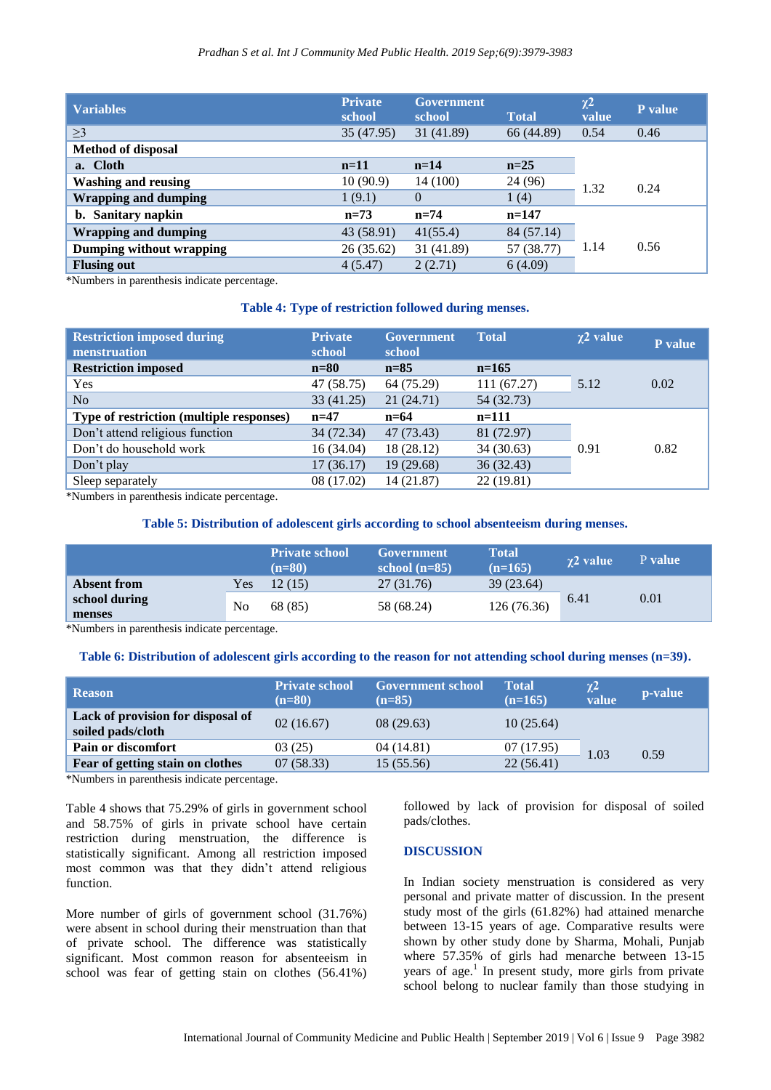| <b>Variables</b>            | <b>Private</b><br>school | <b>Government</b><br>school | <b>Total</b> | $\chi^2$<br>value | P value |
|-----------------------------|--------------------------|-----------------------------|--------------|-------------------|---------|
| $\geq$ 3                    | 35 (47.95)               | 31 (41.89)                  | 66 (44.89)   | 0.54              | 0.46    |
| <b>Method of disposal</b>   |                          |                             |              |                   |         |
| a. Cloth                    | $n=11$                   | $n=14$                      | $n=25$       |                   |         |
| <b>Washing and reusing</b>  | 10(90.9)                 | 14 (100)                    | 24 (96)      | 1.32              | 0.24    |
| <b>Wrapping and dumping</b> | 1(9.1)                   | $\theta$                    | 1(4)         |                   |         |
| b. Sanitary napkin          | $n=73$                   | $n = 74$                    | $n=147$      |                   |         |
| <b>Wrapping and dumping</b> | 43 (58.91)               | 41(55.4)                    | 84 (57.14)   |                   |         |
| Dumping without wrapping    | 26(35.62)                | 31 (41.89)                  | 57 (38.77)   | 1.14              | 0.56    |
| <b>Flusing out</b>          | 4(5.47)                  | 2(2.71)                     | 6(4.09)      |                   |         |

\*Numbers in parenthesis indicate percentage.

#### **Table 4: Type of restriction followed during menses.**

| <b>Restriction imposed during</b><br>menstruation | <b>Private</b><br>school | <b>Government</b><br>school | <b>Total</b> | $\chi$ 2 value | P value |
|---------------------------------------------------|--------------------------|-----------------------------|--------------|----------------|---------|
| <b>Restriction imposed</b>                        | $n=80$                   | $n=85$                      | $n=165$      |                |         |
| Yes                                               | 47 (58.75)               | 64 (75.29)                  | 111 (67.27)  | 5.12           | 0.02    |
| N <sub>o</sub>                                    | 33(41.25)                | 21(24.71)                   | 54 (32.73)   |                |         |
| Type of restriction (multiple responses)          | $n=47$                   | $n=64$                      | $n=111$      |                |         |
| Don't attend religious function                   | 34 (72.34)               | 47 (73.43)                  | 81 (72.97)   |                |         |
| Don't do household work                           | 16 (34.04)               | 18 (28.12)                  | 34(30.63)    | 0.91           | 0.82    |
| Don't play                                        | 17(36.17)                | 19(29.68)                   | 36(32.43)    |                |         |
| Sleep separately                                  | 08 (17.02)               | 14 (21.87)                  | 22(19.81)    |                |         |

\*Numbers in parenthesis indicate percentage.

# **Table 5: Distribution of adolescent girls according to school absenteeism during menses.**

|                         |     | <b>Private school</b><br>$(n=80)$ | Government<br>school $(n=85)$ | <b>Total</b><br>$(n=165)$ | $\gamma$ 2 value | P value |
|-------------------------|-----|-----------------------------------|-------------------------------|---------------------------|------------------|---------|
| <b>Absent from</b>      | Yes | 12(15)                            | 27 (31.76)                    | 39(23.64)                 |                  |         |
| school during<br>menses | No  | 68 (85)                           | 58 (68.24)                    | 126 (76.36)               | 6.41             | 0.01    |

\*Numbers in parenthesis indicate percentage.

# **Table 6: Distribution of adolescent girls according to the reason for not attending school during menses (n=39).**

| <b>Reason</b>                                          | <b>Private school</b><br>$(n=80)$ | <b>Government school</b><br>$(n=85)$ | <b>Total</b><br>$(n=165)$ | $\chi^2$<br>value | p-value |
|--------------------------------------------------------|-----------------------------------|--------------------------------------|---------------------------|-------------------|---------|
| Lack of provision for disposal of<br>soiled pads/cloth | 02(16.67)                         | 08(29.63)                            | 10(25.64)                 |                   |         |
| Pain or discomfort                                     | 03(25)                            | 04(14.81)                            | 07(17.95)                 | 1.03              | 0.59    |
| Fear of getting stain on clothes                       | 07(58.33)                         | 15(55.56)                            | 22(56.41)                 |                   |         |

\*Numbers in parenthesis indicate percentage.

Table 4 shows that 75.29% of girls in government school and 58.75% of girls in private school have certain restriction during menstruation, the difference is statistically significant. Among all restriction imposed most common was that they didn't attend religious function.

More number of girls of government school (31.76%) were absent in school during their menstruation than that of private school. The difference was statistically significant. Most common reason for absenteeism in school was fear of getting stain on clothes (56.41%)

followed by lack of provision for disposal of soiled pads/clothes.

#### **DISCUSSION**

In Indian society menstruation is considered as very personal and private matter of discussion. In the present study most of the girls (61.82%) had attained menarche between 13-15 years of age. Comparative results were shown by other study done by Sharma, Mohali, Punjab where 57.35% of girls had menarche between 13-15 years of age.<sup>1</sup> In present study, more girls from private school belong to nuclear family than those studying in